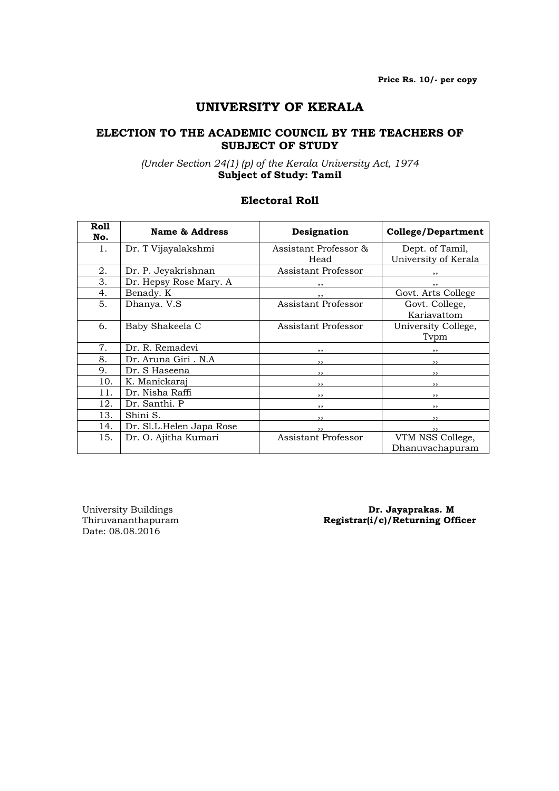# UNIVERSITY OF KERALA

#### ELECTION TO THE ACADEMIC COUNCIL BY THE TEACHERS OF SUBJECT OF STUDY

## (Under Section 24(1) (p) of the Kerala University Act, 1974 Subject of Study: Tamil

# Electoral Roll

| Roll | <b>Name &amp; Address</b> | Designation                | College/Department   |
|------|---------------------------|----------------------------|----------------------|
| No.  |                           |                            |                      |
| 1.   | Dr. T Vijayalakshmi       | Assistant Professor &      | Dept. of Tamil,      |
|      |                           | Head                       | University of Kerala |
| 2.   | Dr. P. Jeyakrishnan       | Assistant Professor        | $, \,$               |
| 3.   | Dr. Hepsy Rose Mary. A    | ,,                         | , ,                  |
| 4.   | Benady. K                 | , ,                        | Govt. Arts College   |
| 5.   | Dhanya. V.S               | Assistant Professor        | Govt. College,       |
|      |                           |                            | Kariavattom          |
| 6.   | Baby Shakeela C           | Assistant Professor        | University College,  |
|      |                           |                            | Typm                 |
| 7.   | Dr. R. Remadevi           |                            |                      |
| 8.   | Dr. Aruna Giri . N.A      | $, \,$                     | $, \,$               |
| 9.   | Dr. S Haseena             | , ,                        | $, \,$               |
| 10.  | K. Manickaraj             | $, \,$                     | $, \,$               |
| 11.  | Dr. Nisha Raffi           | $, \,$                     | $, \,$               |
| 12.  | Dr. Santhi. P             | ,,                         | ,,                   |
| 13.  | Shini S.                  | $, \,$                     | $, \,$               |
| 14.  | Dr. Sl.L.Helen Japa Rose  |                            | , ,                  |
| 15.  | Dr. O. Ajitha Kumari      | <b>Assistant Professor</b> | VTM NSS College,     |
|      |                           |                            | Dhanuvachapuram      |

Date: 08.08.2016

#### University Buildings<br>
Thiruvananthapuram<br> **Registrar(i/c)/Returning Off**  $Registrar(i/c)/Returing$  Officer